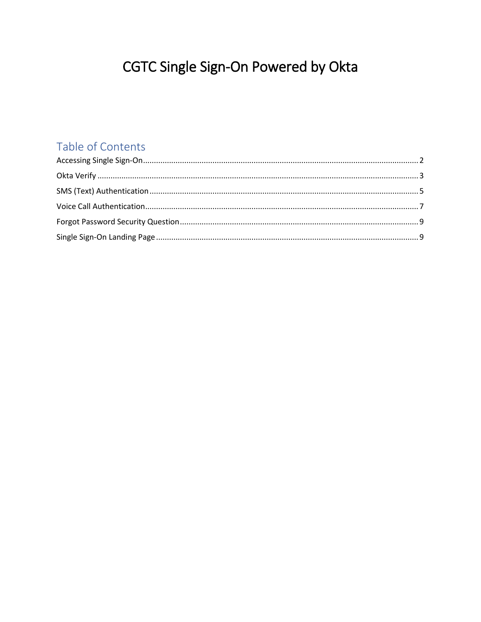# CGTC Single Sign-On Powered by Okta

### Table of Contents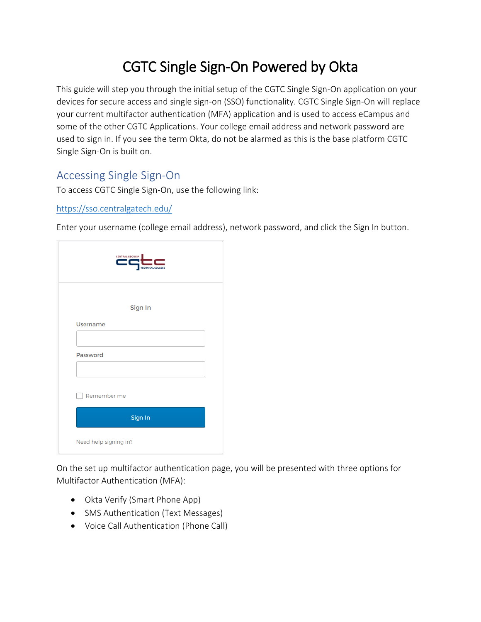## CGTC Single Sign-On Powered by Okta

This guide will step you through the initial setup of the CGTC Single Sign-On application on your devices for secure access and single sign-on (SSO) functionality. CGTC Single Sign-On will replace your current multifactor authentication (MFA) application and is used to access eCampus and some of the other CGTC Applications. Your college email address and network password are used to sign in. If you see the term Okta, do not be alarmed as this is the base platform CGTC Single Sign-On is built on.

### <span id="page-1-0"></span>Accessing Single Sign-On

To access CGTC Single Sign-On, use the following link:

#### <https://sso.centralgatech.edu/>

Enter your username (college email address), network password, and click the Sign In button.

| CENTRAL GEORGIA<br>TECHNICAL COLLEGE |
|--------------------------------------|
| Sign In                              |
| <b>Username</b>                      |
| Password                             |
| Remember me                          |
| Sign In                              |
| Need help signing in?                |

On the set up multifactor authentication page, you will be presented with three options for Multifactor Authentication (MFA):

- Okta Verify (Smart Phone App)
- SMS Authentication (Text Messages)
- Voice Call Authentication (Phone Call)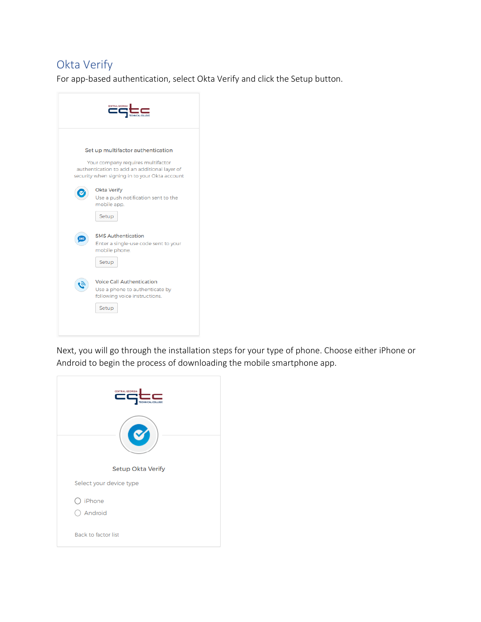#### <span id="page-2-0"></span>Okta Verify

For app-based authentication, select Okta Verify and click the Setup button.



Next, you will go through the installation steps for your type of phone. Choose either iPhone or Android to begin the process of downloading the mobile smartphone app.

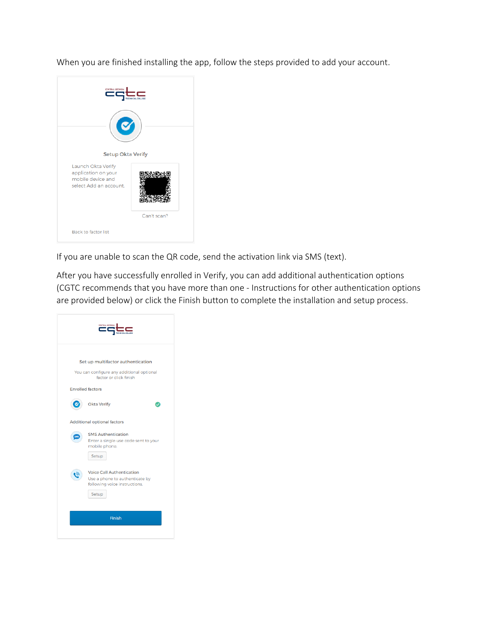When you are finished installing the app, follow the steps provided to add your account.

| <b>CENTRAL GEORGIA</b>                                         |             |
|----------------------------------------------------------------|-------------|
|                                                                |             |
| <b>Setup Okta Verify</b>                                       |             |
| Launch Okta Verify<br>application on your<br>mobile device and |             |
| select Add an account.                                         |             |
|                                                                | Can't scan? |
| <b>Back to factor list</b>                                     |             |

If you are unable to scan the QR code, send the activation link via SMS (text).

After you have successfully enrolled in Verify, you can add additional authentication options (CGTC recommends that you have more than one - Instructions for other authentication options are provided below) or click the Finish button to complete the installation and setup process.

| <b>CENTRAL GEORGIA</b><br><b>TOINICAL COLLEC</b>                                                                                                          |
|-----------------------------------------------------------------------------------------------------------------------------------------------------------|
| Set up multifactor authentication<br>You can configure any additional optional<br>factor or click finish<br><b>Enrolled factors</b><br><b>Okta Verify</b> |
| <b>Additional optional factors</b><br><b>SMS Authentication</b><br>SMS<br>Enter a single-use code sent to your<br>mobile phone.<br>Setup                  |
| <b>Voice Call Authentication</b><br>Use a phone to authenticate by<br>following voice instructions.<br>Setup                                              |
| Finish                                                                                                                                                    |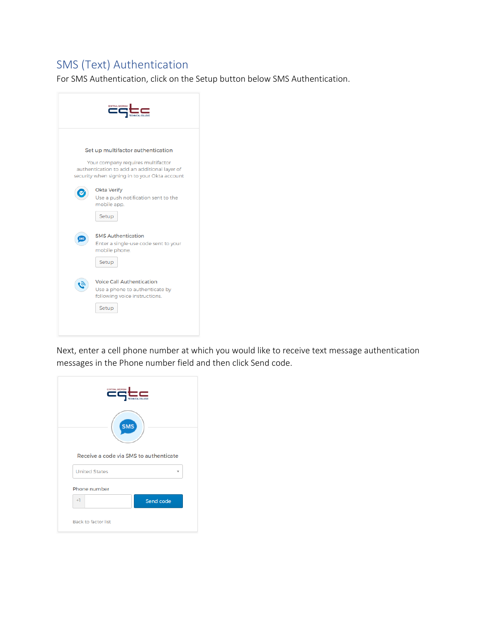#### <span id="page-4-0"></span>SMS (Text) Authentication

For SMS Authentication, click on the Setup button below SMS Authentication.



Next, enter a cell phone number at which you would like to receive text message authentication messages in the Phone number field and then click Send code.

| <b>CENTRAL GEORGIA</b>                 |
|----------------------------------------|
| <b>SMS</b>                             |
| Receive a code via SMS to authenticate |
| <b>United States</b>                   |
| Phone number                           |
| $+1$<br>Send code                      |
| <b>Back to factor list</b>             |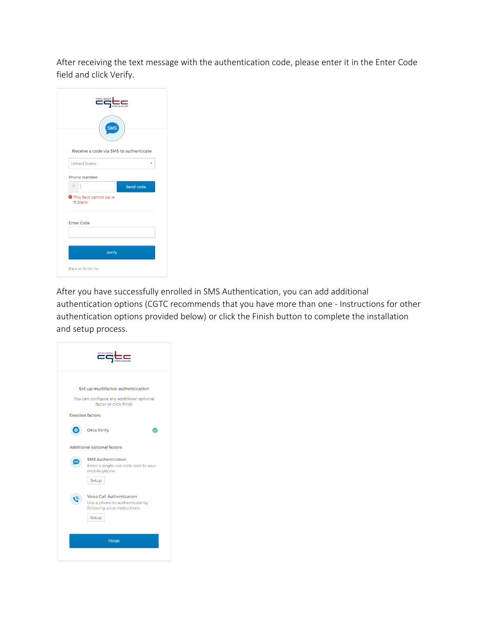After receiving the text message with the authentication code, please enter it in the Enter Code field and click Verify.

| CENTRAL GEORGIA<br>TECHNICAL COLLEGE<br><b>SMS</b> |
|----------------------------------------------------|
| Receive a code via SMS to authenticate             |
| <b>United States</b>                               |
| Phone number                                       |
| $+1$<br>Send code                                  |
| <b>O</b> This field cannot be le<br>ft blank       |
| <b>Enter Code</b>                                  |
|                                                    |
| Verify                                             |
| <b>Back to factor list</b>                         |

After you have successfully enrolled in SMS Authentication, you can add additional authentication options (CGTC recommends that you have more than one - Instructions for other authentication options provided below) or click the Finish button to complete the installation and setup process.

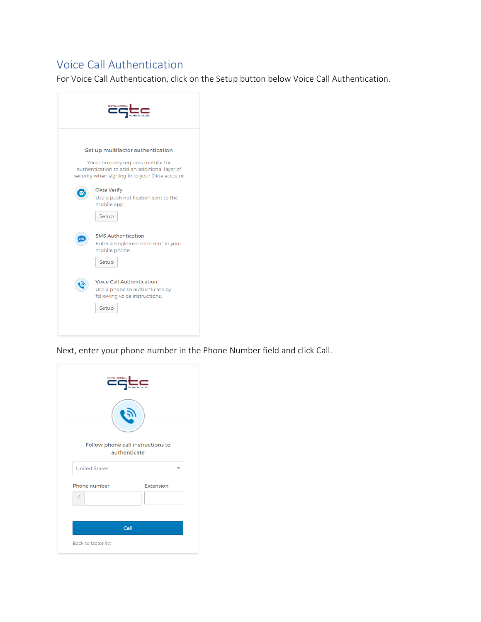#### <span id="page-6-0"></span>Voice Call Authentication

For Voice Call Authentication, click on the Setup button below Voice Call Authentication.



Next, enter your phone number in the Phone Number field and click Call.

|                      | <b>CENTRAL GEORGIA</b> | TECHNICAL COLLEGE |                                   |   |
|----------------------|------------------------|-------------------|-----------------------------------|---|
| <b>United States</b> |                        | authenticate      | Follow phone call instructions to | ÷ |
|                      |                        |                   |                                   |   |
| Phone number         |                        |                   | <b>Extension</b>                  |   |
| $+1$                 |                        |                   |                                   |   |
|                      |                        |                   |                                   |   |
|                      |                        |                   |                                   |   |
|                      |                        | Call              |                                   |   |
|                      |                        |                   |                                   |   |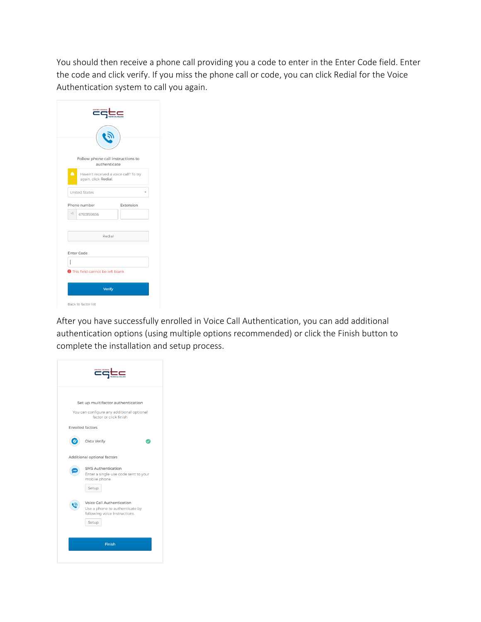You should then receive a phone call providing you a code to enter in the Enter Code field. Enter the code and click verify. If you miss the phone call or code, you can click Redial for the Voice Authentication system to call you again.

| CENTRAL GEORGIA<br><b>FECHNICAL COLLEGE</b>                        |
|--------------------------------------------------------------------|
|                                                                    |
| Follow phone call instructions to<br>authenticate                  |
| Ā<br>Haven't received a voice call? To try<br>again, click Redial. |
| United States                                                      |
| Extension<br>Phone number                                          |
| $+1$<br>6783159836                                                 |
|                                                                    |
| Redial                                                             |
| Enter Code                                                         |
| <b>O</b> This field cannot be left blank                           |
|                                                                    |
| Verify                                                             |
| Back to factor list                                                |

After you have successfully enrolled in Voice Call Authentication, you can add additional authentication options (using multiple options recommended) or click the Finish button to complete the installation and setup process.